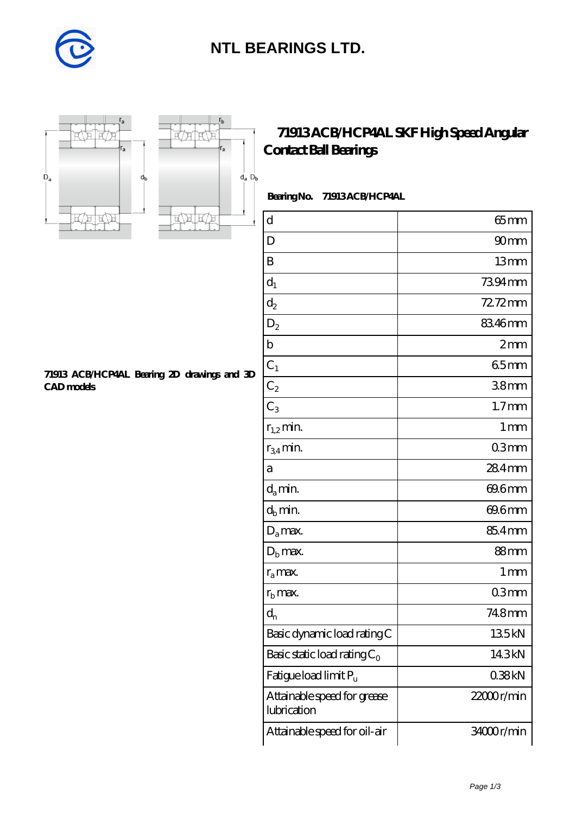

## **[NTL BEARINGS LTD.](https://diabetesfriends.net)**





## **[71913 ACB/HCP4AL SKF High Speed Angular](https://diabetesfriends.net/skf-bearing/71913-acb-hcp4al.html) [Contact Ball Bearings](https://diabetesfriends.net/skf-bearing/71913-acb-hcp4al.html)**

 **Bearing No. 71913 ACB/HCP4AL**

| $\mathbf d$                                | $65$ mm           |
|--------------------------------------------|-------------------|
| D                                          | 90 <sub>mm</sub>  |
| B                                          | 13mm              |
| $d_1$                                      | 7394mm            |
| $\mathrm{d}_2$                             | 72.72mm           |
| $D_2$                                      | 83.46mm           |
| $\mathbf b$                                | 2mm               |
| $C_1$                                      | 65mm              |
| $C_2$                                      | 38 <sub>mm</sub>  |
| $C_3$                                      | 1.7 <sub>mm</sub> |
| $r_{1,2}$ min.                             | $1 \,\mathrm{mm}$ |
| $r_{34}$ min.                              | 03mm              |
| а                                          | 284mm             |
| $d_a$ min.                                 | 69.6mm            |
| $d_b$ min.                                 | 69.6mm            |
| $D_a$ max.                                 | 85.4mm            |
| $D_{b}$ max.                               | 88mm              |
| $r_{a}$ max.                               | 1 <sub>mm</sub>   |
| $r_{\rm b}$ max.                           | 03mm              |
| $d_{n}$                                    | 748mm             |
| Basic dynamic load rating C                | 135kN             |
| Basic static load rating $C_0$             | 14.3kN            |
| Fatigue load limit P <sub>u</sub>          | 038kN             |
| Attainable speed for grease<br>lubrication | $22000$ r/min     |
| Attainable speed for oil-air               | 34000r/min        |

**[71913 ACB/HCP4AL Bearing 2D drawings and 3D](https://diabetesfriends.net/pic-590751.html) [CAD models](https://diabetesfriends.net/pic-590751.html)**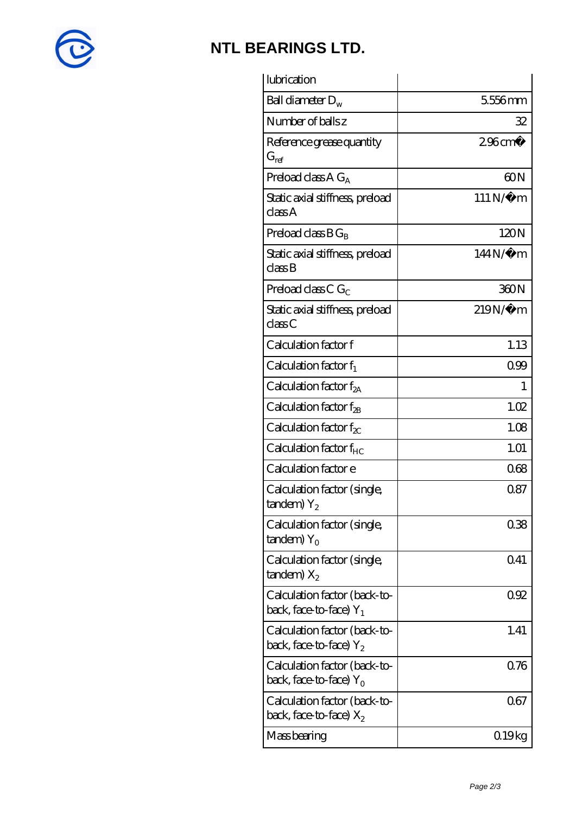

## **[NTL BEARINGS LTD.](https://diabetesfriends.net)**

| lubrication                                               |                   |
|-----------------------------------------------------------|-------------------|
| Ball diameter $D_w$                                       | 5556mm            |
| Number of balls z                                         | 32                |
| Reference grease quantity<br>$G_{ref}$                    | $296 \text{cm}^3$ |
| Preload class A $G_A$                                     | 60N               |
| Static axial stiffness, preload<br>classA                 | $111N/\mu$ m      |
| Preload class $BG_B$                                      | 120N              |
| Static axial stiffness, preload<br>classB                 | $144N/\mu$ m      |
| Preload class C $G_C$                                     | 360N              |
| Static axial stiffness, preload<br>classC                 | 219N/µ m          |
| Calculation factor f                                      | 1.13              |
| Calculation factor $f_1$                                  | 099               |
| C alculation factor $f_{2A}$                              | 1                 |
| Calculation factor $f_{2B}$                               | 1.02              |
| Calculation factor $f_{\chi}$                             | 1.08              |
| Calculation factor f <sub>HC</sub>                        | 1.01              |
| Calculation factor e                                      | 068               |
| Calculation factor (single,<br>$t$ andem) $Y_2$           | 0.87              |
| Calculation factor (single,<br>$t$ andem) Y <sub>o</sub>  | 038               |
| Calculation factor (single,<br>$t$ andem) $X_2$           | 041               |
| Calculation factor (back-to-<br>back, face-to-face) $Y_1$ | 0.92              |
| Calculation factor (back-to-<br>back, face-to-face) $Y_2$ | 1.41              |
| Calculation factor (back-to-<br>back, face-to-face) $Y_0$ | 0.76              |
| Calculation factor (back-to-<br>back, face-to-face) $X_2$ | 067               |
| Mass bearing                                              | 019kg             |